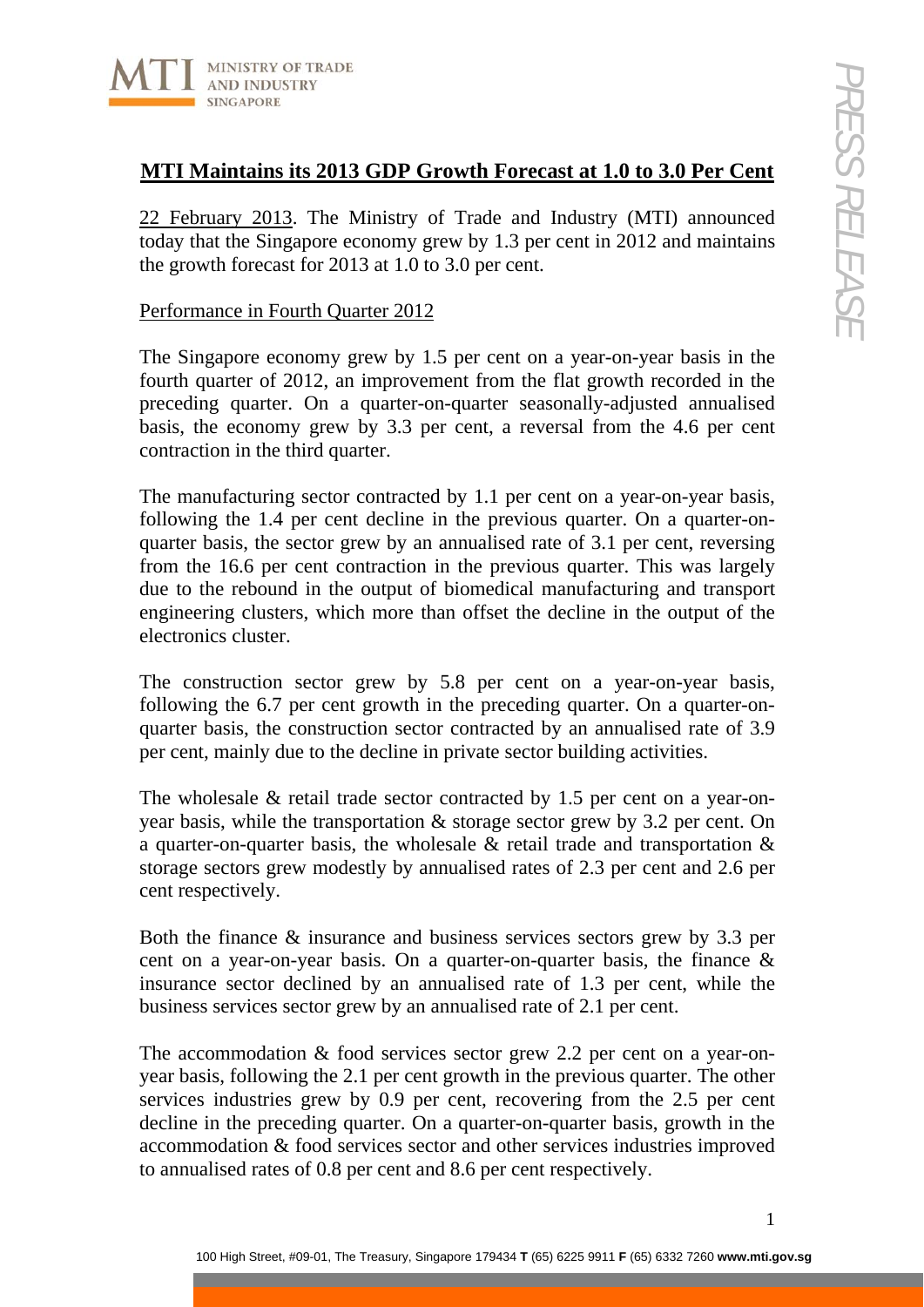

# **MTI Maintains its 2013 GDP Growth Forecast at 1.0 to 3.0 Per Cent**

22 February 2013. The Ministry of Trade and Industry (MTI) announced today that the Singapore economy grew by 1.3 per cent in 2012 and maintains the growth forecast for 2013 at 1.0 to 3.0 per cent.

#### Performance in Fourth Quarter 2012

The Singapore economy grew by 1.5 per cent on a year-on-year basis in the fourth quarter of 2012, an improvement from the flat growth recorded in the preceding quarter. On a quarter-on-quarter seasonally-adjusted annualised basis, the economy grew by 3.3 per cent, a reversal from the 4.6 per cent contraction in the third quarter.

The manufacturing sector contracted by 1.1 per cent on a year-on-year basis, following the 1.4 per cent decline in the previous quarter. On a quarter-onquarter basis, the sector grew by an annualised rate of 3.1 per cent, reversing from the 16.6 per cent contraction in the previous quarter. This was largely due to the rebound in the output of biomedical manufacturing and transport engineering clusters, which more than offset the decline in the output of the electronics cluster.

The construction sector grew by 5.8 per cent on a year-on-year basis, following the 6.7 per cent growth in the preceding quarter. On a quarter-onquarter basis, the construction sector contracted by an annualised rate of 3.9 per cent, mainly due to the decline in private sector building activities.

The wholesale & retail trade sector contracted by 1.5 per cent on a year-onyear basis, while the transportation & storage sector grew by 3.2 per cent. On a quarter-on-quarter basis, the wholesale & retail trade and transportation & storage sectors grew modestly by annualised rates of 2.3 per cent and 2.6 per cent respectively.

Both the finance & insurance and business services sectors grew by 3.3 per cent on a year-on-year basis. On a quarter-on-quarter basis, the finance & insurance sector declined by an annualised rate of 1.3 per cent, while the business services sector grew by an annualised rate of 2.1 per cent.

The accommodation & food services sector grew 2.2 per cent on a year-onyear basis, following the 2.1 per cent growth in the previous quarter. The other services industries grew by 0.9 per cent, recovering from the 2.5 per cent decline in the preceding quarter. On a quarter-on-quarter basis, growth in the accommodation & food services sector and other services industries improved to annualised rates of 0.8 per cent and 8.6 per cent respectively.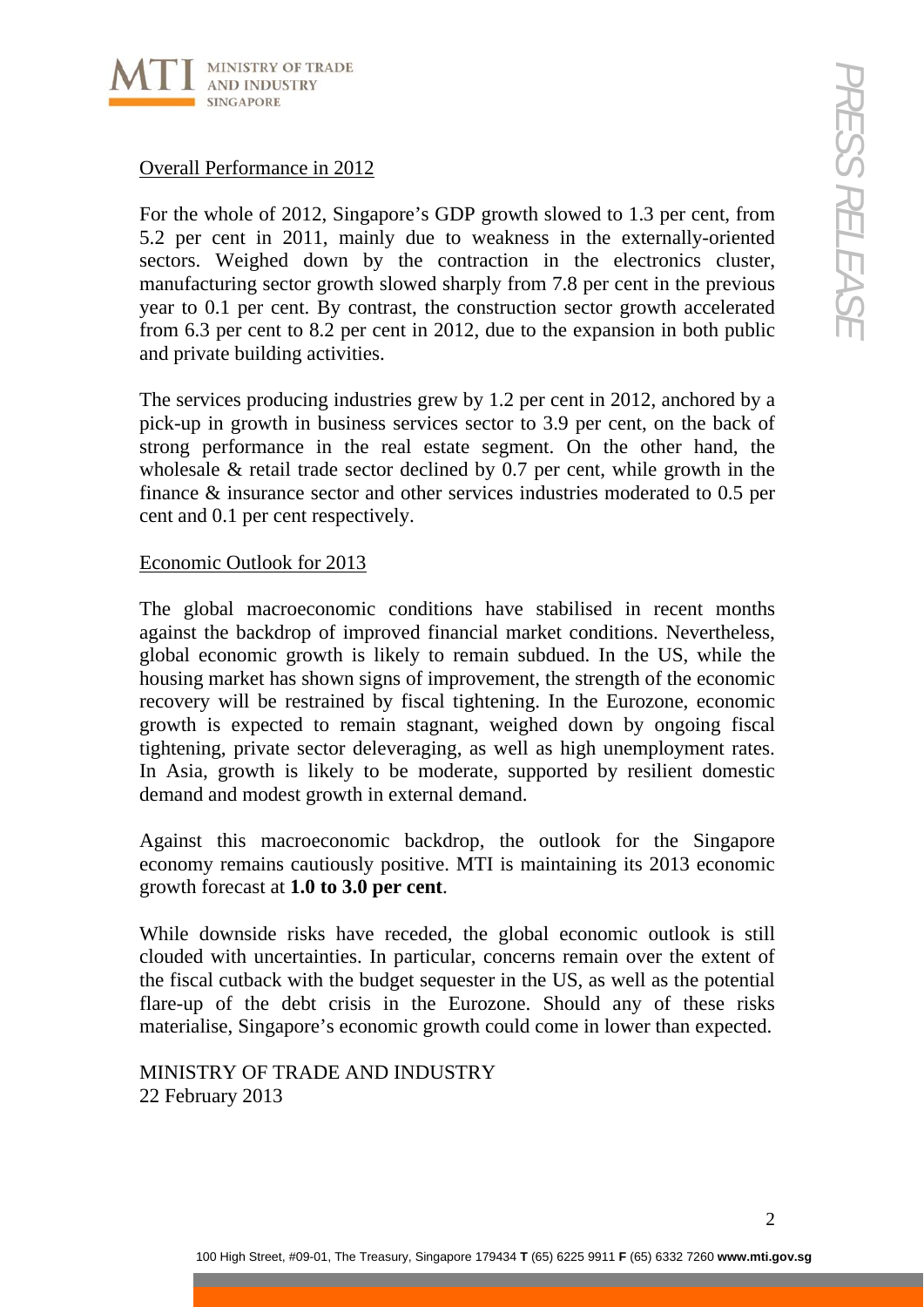

## Overall Performance in 2012

For the whole of 2012, Singapore's GDP growth slowed to 1.3 per cent, from 5.2 per cent in 2011, mainly due to weakness in the externally-oriented sectors. Weighed down by the contraction in the electronics cluster, manufacturing sector growth slowed sharply from 7.8 per cent in the previous year to 0.1 per cent. By contrast, the construction sector growth accelerated from 6.3 per cent to 8.2 per cent in 2012, due to the expansion in both public and private building activities.

The services producing industries grew by 1.2 per cent in 2012, anchored by a pick-up in growth in business services sector to 3.9 per cent, on the back of strong performance in the real estate segment. On the other hand, the wholesale & retail trade sector declined by 0.7 per cent, while growth in the finance & insurance sector and other services industries moderated to 0.5 per cent and 0.1 per cent respectively.

### Economic Outlook for 2013

The global macroeconomic conditions have stabilised in recent months against the backdrop of improved financial market conditions. Nevertheless, global economic growth is likely to remain subdued. In the US, while the housing market has shown signs of improvement, the strength of the economic recovery will be restrained by fiscal tightening. In the Eurozone, economic growth is expected to remain stagnant, weighed down by ongoing fiscal tightening, private sector deleveraging, as well as high unemployment rates. In Asia, growth is likely to be moderate, supported by resilient domestic demand and modest growth in external demand.

Against this macroeconomic backdrop, the outlook for the Singapore economy remains cautiously positive. MTI is maintaining its 2013 economic growth forecast at **1.0 to 3.0 per cent**.

While downside risks have receded, the global economic outlook is still clouded with uncertainties. In particular, concerns remain over the extent of the fiscal cutback with the budget sequester in the US, as well as the potential flare-up of the debt crisis in the Eurozone. Should any of these risks materialise, Singapore's economic growth could come in lower than expected.

MINISTRY OF TRADE AND INDUSTRY 22 February 2013